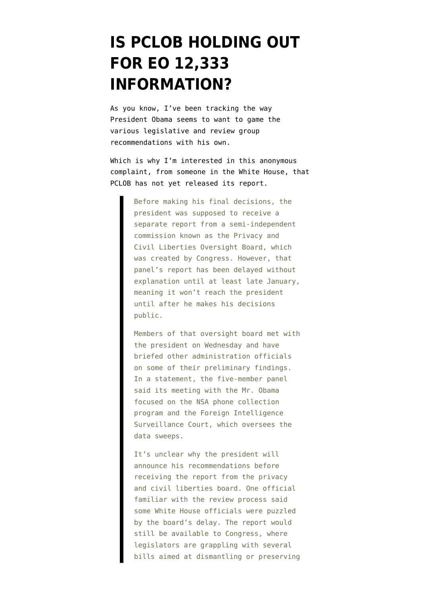## **[IS PCLOB HOLDING OUT](https://www.emptywheel.net/2014/01/10/is-pclob-holding-out-for-eo-12333-information/) [FOR EO 12,333](https://www.emptywheel.net/2014/01/10/is-pclob-holding-out-for-eo-12333-information/) [INFORMATION?](https://www.emptywheel.net/2014/01/10/is-pclob-holding-out-for-eo-12333-information/)**

As you know, I've been [tracking](http://www.emptywheel.net/2014/01/08/the-maneuvers-to-get-ahead-of-the-nsa-review-group-recommendations/) the way President Obama seems to want to game the various legislative and review group recommendations with his own.

Which is why I'm interested in [this anonymous](http://www.npr.org/templates/story/story.php?storyId=260760383) [complaint,](http://www.npr.org/templates/story/story.php?storyId=260760383) from someone in the White House, that PCLOB has not yet released its report.

> Before making his final decisions, the president was supposed to receive a separate report from a semi-independent commission known as the Privacy and Civil Liberties Oversight Board, which was created by Congress. However, that panel's report has been delayed without explanation until at least late January, meaning it won't reach the president until after he makes his decisions public.

> Members of that oversight board met with the president on Wednesday and have briefed other administration officials on some of their preliminary findings. In a statement, the five-member panel said its meeting with the Mr. Obama focused on the NSA phone collection program and the Foreign Intelligence Surveillance Court, which oversees the data sweeps.

> It's unclear why the president will announce his recommendations before receiving the report from the privacy and civil liberties board. One official familiar with the review process said some White House officials were puzzled by the board's delay. The report would still be available to Congress, where legislators are grappling with several bills aimed at dismantling or preserving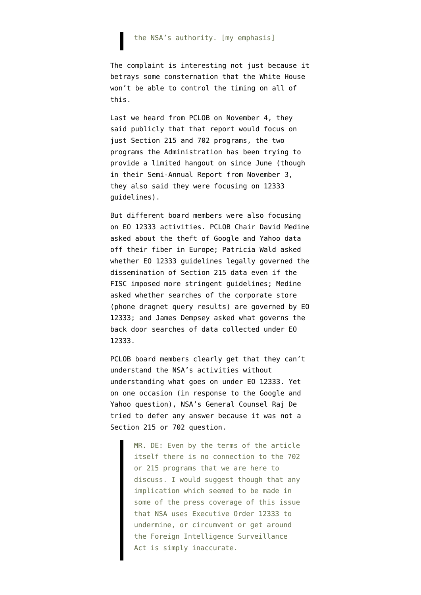## the NSA's authority. [my emphasis]

The complaint is interesting not just because it betrays some consternation that the White House won't be able to control the timing on all of this.

Last we [heard from PCLOB on November 4,](http://www.pclob.gov/SiteAssets/4%20Nov%2013%20Public%20Hearing%20Transcript%20-%20Session%20I.pdf) they said publicly that that report would focus on just Section 215 and 702 programs, the two programs the Administration has been trying to provide a limited hangout on since June (though in their [Semi-Annual Report](http://www.pclob.gov/All%20Documents/PCLOB%20Semi-Annual%20Report%20to%20the%20President%20and%20Congress%20Nov%202013.pdf) from November 3, they also said they were focusing on 12333 quidelines).

But different board members were also focusing on EO 12333 activities. PCLOB Chair David Medine asked about the theft of Google and Yahoo data off their fiber in Europe; Patricia Wald asked whether EO 12333 guidelines legally governed the dissemination of Section 215 data even if the FISC imposed more stringent guidelines; Medine asked whether searches of the corporate store (phone dragnet query results) are governed by EO 12333; and James Dempsey asked what governs the back door searches of data collected under EO 12333.

PCLOB board members clearly get that they can't understand the NSA's activities without understanding what goes on under EO 12333. Yet on one occasion (in response to the Google and Yahoo question), NSA's General Counsel Raj De tried to defer any answer because it was not a Section 215 or 702 question.

> MR. DE: Even by the terms of the article itself there is no connection to the 702 or 215 programs that we are here to discuss. I would suggest though that any implication which seemed to be made in some of the press coverage of this issue that NSA uses Executive Order 12333 to undermine, or circumvent or get around the Foreign Intelligence Surveillance Act is simply inaccurate.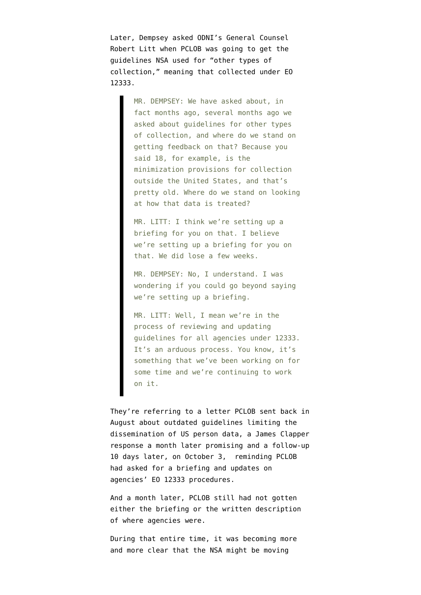Later, Dempsey asked ODNI's General Counsel Robert Litt when PCLOB was going to get the guidelines NSA used for "other types of collection," meaning that collected under EO 12333.

> MR. DEMPSEY: We have asked about, in fact months ago, several months ago we asked about guidelines for other types of collection, and where do we stand on getting feedback on that? Because you said 18, for example, is the minimization provisions for collection outside the United States, and that's pretty old. Where do we stand on looking at how that data is treated?

MR. LITT: I think we're setting up a briefing for you on that. I believe we're setting up a briefing for you on that. We did lose a few weeks.

MR. DEMPSEY: No, I understand. I was wondering if you could go beyond saying we're setting up a briefing.

MR. LITT: Well, I mean we're in the process of reviewing and updating guidelines for all agencies under 12333. It's an arduous process. You know, it's something that we've been working on for some time and we're continuing to work on it.

They're referring to [a letter PCLOB sent back in](http://www.pclob.gov/SiteAssets/newsroom/PCLOB%20DNI%20AG%2012333%20Guidelines%20Letter.pdf) [August](http://www.pclob.gov/SiteAssets/newsroom/PCLOB%20DNI%20AG%2012333%20Guidelines%20Letter.pdf) about outdated guidelines limiting the dissemination of US person data, a [James Clapper](http://www.pclob.gov/SiteAssets/newsroom/DNI%20Reply%20Letter%20to%20PCLOB%20re%20EO%2012333%20Guidelines.pdf) [response a month later](http://www.pclob.gov/SiteAssets/newsroom/DNI%20Reply%20Letter%20to%20PCLOB%20re%20EO%2012333%20Guidelines.pdf) promising and [a follow-up](http://www.pclob.gov/SiteAssets/newsroom/PCLOB%2012333%20Response%20Letter%20From%20Chairman%20to%20DNI%202013%2010%2002.pdf) [10 days later, on October 3](http://www.pclob.gov/SiteAssets/newsroom/PCLOB%2012333%20Response%20Letter%20From%20Chairman%20to%20DNI%202013%2010%2002.pdf), reminding PCLOB had asked for a briefing and updates on agencies' EO 12333 procedures.

And a month later, PCLOB still had not gotten either the briefing or the written description of where agencies were.

During that entire time, it was becoming more and more clear that the NSA might be moving